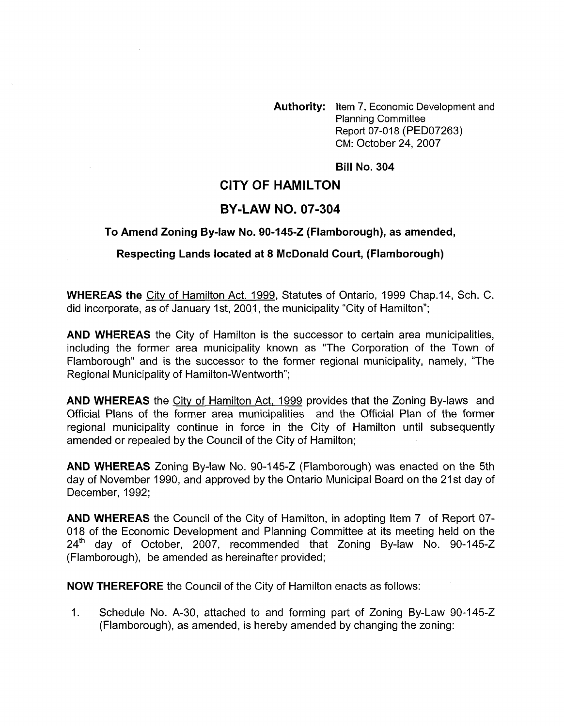**Authority:** Item 7, Economic Development and Planning Committee Report 07-018 (PED07263) CM: October 24, 2007

## **Bill No. 304**

# **CITY OF HAMILTON**

## **BY-LAW NO. 07-304**

#### **To Amend Zoning Bylaw No. 90-145-2 (Flamborough), as amended,**

## **Respecting Lands located at 8 McDonald Court, (Flamborough)**

**WHEREAS the** City of Hamilton Act. 1999, Statutes of Ontario, 1999 Chap.14, Sch. C. did incorporate, as of January 1st, 2001, the municipality "City of Hamilton";

**AND WHEREAS** the City of Hamilton is the successor to certain area municipalities, including the former area municipality known as "The Corporation of the Town of Flamborough" and is the successor to the former regional municipality, namely, "The Regional Municipality of Hamilton-Wentworth";

**AND WHEREAS** the Citv of Hamilton Act, 1999 provides that the Zoning By-laws and Official Plans of the former area municipalities and the Official Plan of the former regional municipality continue in force in the City of Hamilton until subsequently amended or repealed by the Council of the City of Hamilton;

**AND WHEREAS** Zoning By-law No. 90-145-2 (Flamborough) was enacted on the 5th day of November 1990, and approved by the Ontario Municipal Board on the 21st day of December, 1992;

**AND WHEREAS** the Council of the City of Hamilton, in adopting Item 7 of Report 07- 018 of the Economic Development and Planning Committee at its meeting held on the 24'h day of October, 2007, recommended that Zoning By-law No. 90-145-2 (Flamborough), be amended as hereinafter provided;

**NOW THEREFORE** the Council of the City of Hamilton enacts as follows:

1. Schedule No. A-30, attached to and forming part of Zoning By-Law 90-145-2 (Flamborough), as amended, is hereby amended by changing the zoning: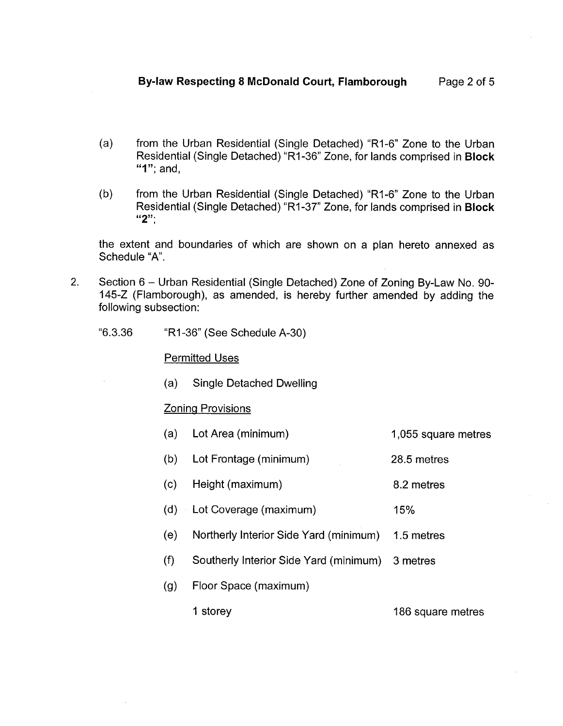- $(a)$ from the Urban Residential (Single Detached) "RI-6" Zone to the Urban Residential (Single Detached) "Rl-36" Zone, for lands comprised in **Block "1";** and,
- from the Urban Residential (Single Detached) "R1-6" Zone to the Urban  $(b)$ Residential (Single Detached) "RI-37" Zone, for lands comprised in **Block "2";**

the extent and boundaries of which are shown on a plan hereto annexed as Schedule "A".

- Section 6 Urban Residential (Single Detached) Zone of Zoning By-Law No. 90-145-2 (Flamborough), as amended, is hereby further amended by adding the following subsection: 2.
	- "6.3.36 "RI -36" (See Schedule A-30)

Permitted Uses

(a) Single Detached Dwelling

#### Zoning Provisions

- (a) Lot Area (minimum) 1,055 square metres
- (b) Lot Frontage (minimum) 28.5 metres
- (c) Height (maximum) 8.2 metres
- (d) Lot Coverage (maximum) 15%
- (e) Northerly Interior Side Yard (minimum) 1.5 metres
- (f) Southerly Interior Side Yard (minimum) 3 metres
- (9) Floor Space (maximum)

1 storey 186 square metres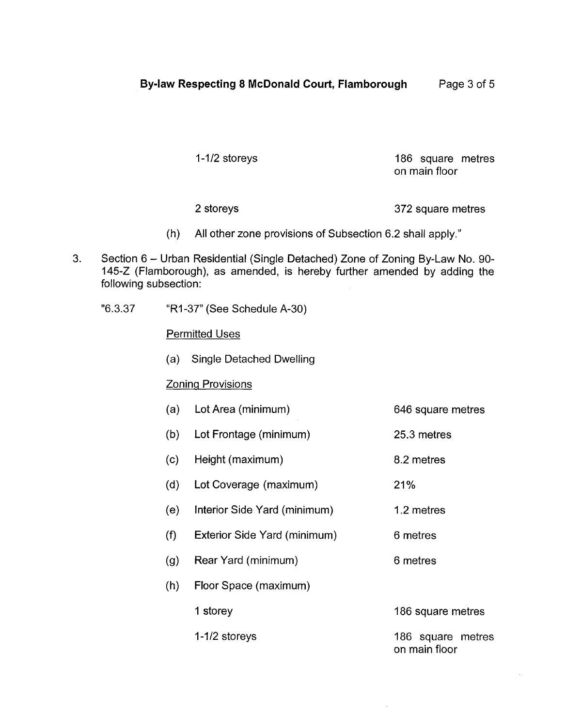1-1/2 storeys 186 square metres on main floor

2 storeys 372 square metres

- (h) All other zone provisions of Subsection 6.2 shall apply."
- 3. Section 6 Urban Residential (Single Detached) Zone of Zoning By-Law No. 90- 145-2 (Flamborough), as amended, is hereby further amended by adding the following subsection:
	- "6.3.3 7 "R1-37" (See Schedule A-30)

Permitted Uses

(a) Single Detached Dwelling

# Zoning Provisions

- (a) Lot Area (minimum) 646 square metres
- (b) Lot Frontage (minimum) 25.3 metres
- (c) Height (maximum)
- (d) Lot Coverage (maximum)
- (e) Interior Side Yard (minimum)
- (f) Exterior Side Yard (minimum)
- (9) Rear Yard (minimum) 6 metres
- (h) Floor Space (maximum)

1 storey

1 -1/2 storeys

186 square metres on main floor

186 square metres

8.2 metres

1.2 metres

6 metres

21 %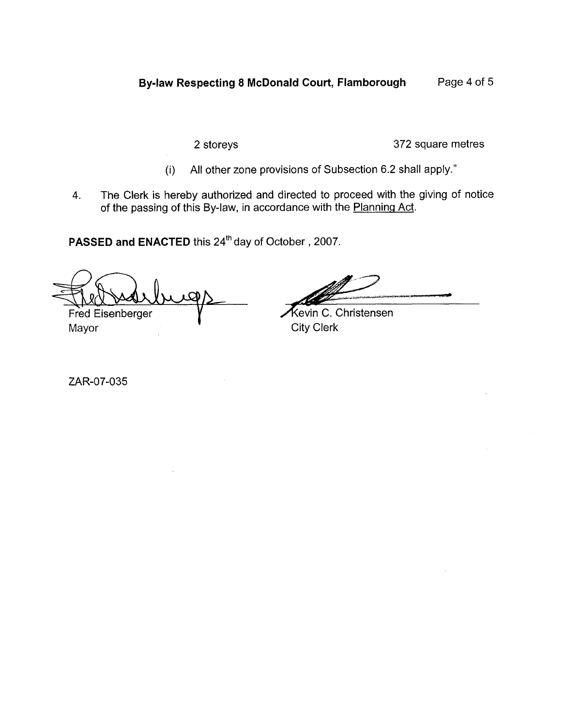2 storeys 372 square metres

- (i) All other zone provisions of Subsection 6.2 shall apply."
- **4.** The Clerk is hereby authorized and directed to proceed with the giving of notice of the passing of this By-law, in accordance with the Planning Act.

PASSED and ENACTED this 24<sup>th</sup> day of October, 2007.

Fred Eisenberger Mayor

Kevin C. Christensen **City Clerk** 

ZAR-07-035